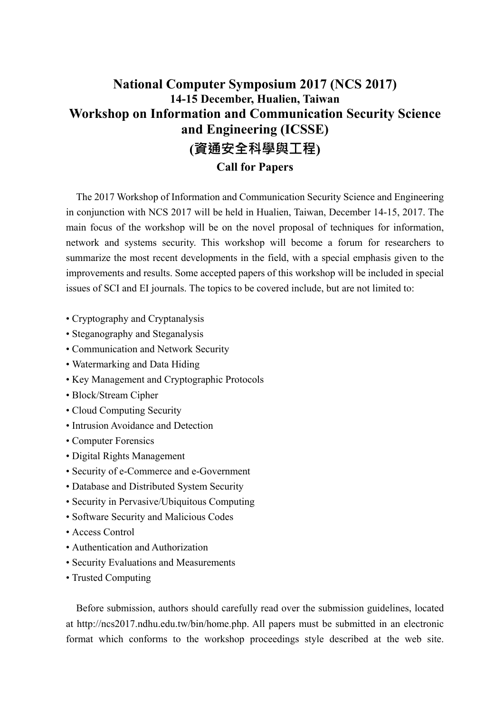# **National Computer Symposium 2017 (NCS 2017) 14-15 December, Hualien, Taiwan Workshop on Information and Communication Security Science and Engineering (ICSSE) (資通安全科學與工程)**

# **Call for Papers**

The 2017 Workshop of Information and Communication Security Science and Engineering in conjunction with NCS 2017 will be held in Hualien, Taiwan, December 14-15, 2017. The main focus of the workshop will be on the novel proposal of techniques for information, network and systems security. This workshop will become a forum for researchers to summarize the most recent developments in the field, with a special emphasis given to the improvements and results. Some accepted papers of this workshop will be included in special issues of SCI and EI journals. The topics to be covered include, but are not limited to:

- Cryptography and Cryptanalysis
- Steganography and Steganalysis
- Communication and Network Security
- Watermarking and Data Hiding
- Key Management and Cryptographic Protocols
- Block/Stream Cipher
- Cloud Computing Security
- Intrusion Avoidance and Detection
- Computer Forensics
- Digital Rights Management
- Security of e-Commerce and e-Government
- Database and Distributed System Security
- Security in Pervasive/Ubiquitous Computing
- Software Security and Malicious Codes
- Access Control
- Authentication and Authorization
- Security Evaluations and Measurements
- Trusted Computing

Before submission, authors should carefully read over the submission guidelines, located at http://ncs2017.ndhu.edu.tw/bin/home.php. All papers must be submitted in an electronic format which conforms to the workshop proceedings style described at the web site.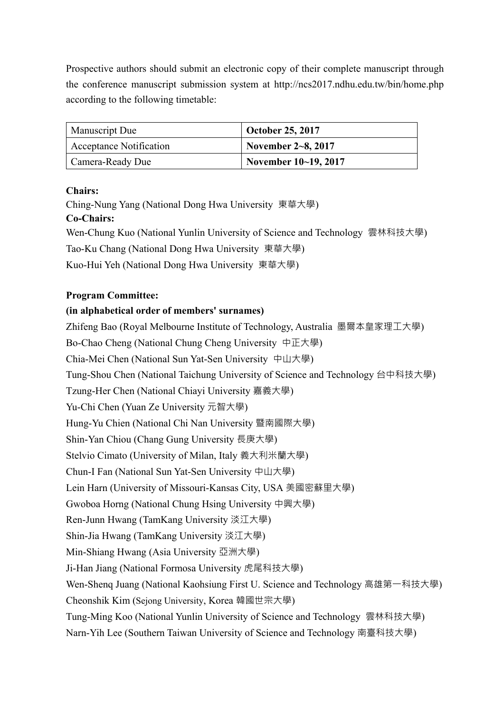Prospective authors should submit an electronic copy of their complete manuscript through the conference manuscript submission system at http://ncs2017.ndhu.edu.tw/bin/home.php according to the following timetable:

| <b>Manuscript Due</b>   | <b>October 25, 2017</b> |
|-------------------------|-------------------------|
| Acceptance Notification | November $2 - 8$ , 2017 |
| Camera-Ready Due        | November 10~19, 2017    |

## **Chairs:**

Ching-Nung Yang (National Dong Hwa University 東華大學) **Co-Chairs:**  Wen-Chung Kuo (National Yunlin University of Science and Technology 雲林科技大學) Tao-Ku Chang (National Dong Hwa University 東華大學) Kuo-Hui Yeh (National Dong Hwa University 東華大學)

#### **Program Committee:**

#### **(in alphabetical order of members' surnames)**

Zhifeng Bao (Royal Melbourne Institute of Technology, Australia 墨爾本皇家理工大學)

Bo-Chao Cheng (National Chung Cheng University 中正大學)

Chia-Mei Chen (National Sun Yat-Sen University 中山大學)

Tung-Shou Chen (National Taichung University of Science and Technology 台中科技大學)

Tzung-Her Chen (National Chiayi University 嘉義大學)

Yu-Chi Chen (Yuan Ze University 元智大學)

Hung-Yu Chien (National Chi Nan University 暨南國際大學)

Shin-Yan Chiou (Chang Gung University 長庚大學)

Stelvio Cimato (University of Milan, Italy 義大利米蘭大學)

Chun-I Fan (National Sun Yat-Sen University 中山大學)

Lein Harn (University of Missouri-Kansas City, USA 美國密蘇里大學)

Gwoboa Horng (National Chung Hsing University 中興大學)

Ren-Junn Hwang (TamKang University 淡江大學)

Shin-Jia Hwang (TamKang University 淡江大學)

Min-Shiang Hwang (Asia University 亞洲大學)

Ji-Han Jiang (National Formosa University 虎尾科技大學)

Wen-Shenq Juang (National Kaohsiung First U. Science and Technology 高雄第一科技大學) Cheonshik Kim (Sejong University, Korea 韓國世宗大學)

Tung-Ming Koo (National Yunlin University of Science and Technology 雲林科技大學)

Narn-Yih Lee (Southern Taiwan University of Science and Technology 南臺科技大學)